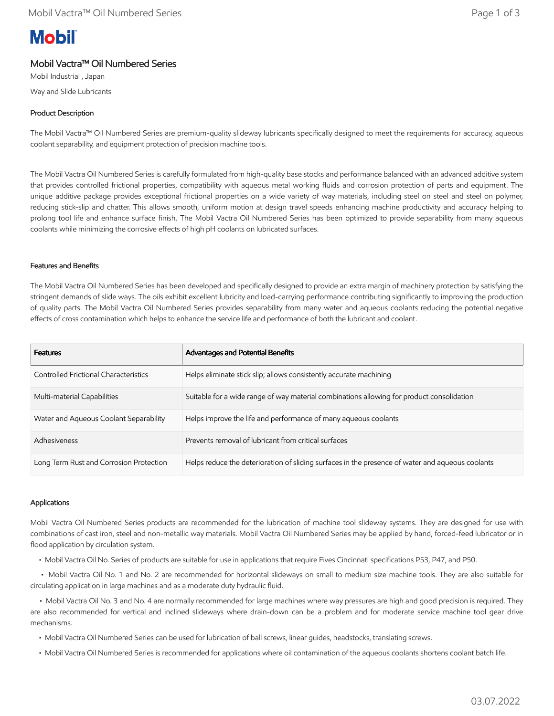# **Mobil**

# Mobil Vactra™ Oil Numbered Series

Mobil Industrial , Japan Way and Slide Lubricants

# Product Description

The Mobil Vactra™ Oil Numbered Series are premium-quality slideway lubricants specifically designed to meet the requirements for accuracy, aqueous coolant separability, and equipment protection of precision machine tools.

The Mobil Vactra Oil Numbered Series is carefully formulated from high-quality base stocks and performance balanced with an advanced additive system that provides controlled frictional properties, compatibility with aqueous metal working fluids and corrosion protection of parts and equipment. The unique additive package provides exceptional frictional properties on a wide variety of way materials, including steel on steel and steel on polymer, reducing stick-slip and chatter. This allows smooth, uniform motion at design travel speeds enhancing machine productivity and accuracy helping to prolong tool life and enhance surface finish. The Mobil Vactra Oil Numbered Series has been optimized to provide separability from many aqueous coolants while minimizing the corrosive effects of high pH coolants on lubricated surfaces.

### Features and Benefits

The Mobil Vactra Oil Numbered Series has been developed and specifically designed to provide an extra margin of machinery protection by satisfying the stringent demands of slide ways. The oils exhibit excellent lubricity and load-carrying performance contributing significantly to improving the production of quality parts. The Mobil Vactra Oil Numbered Series provides separability from many water and aqueous coolants reducing the potential negative effects of cross contamination which helps to enhance the service life and performance of both the lubricant and coolant.

| <b>Features</b>                         | Advantages and Potential Benefits                                                                |
|-----------------------------------------|--------------------------------------------------------------------------------------------------|
| Controlled Frictional Characteristics   | Helps eliminate stick slip; allows consistently accurate machining                               |
| Multi-material Capabilities             | Suitable for a wide range of way material combinations allowing for product consolidation        |
| Water and Aqueous Coolant Separability  | Helps improve the life and performance of many aqueous coolants                                  |
| Adhesiveness                            | Prevents removal of lubricant from critical surfaces                                             |
| Long Term Rust and Corrosion Protection | Helps reduce the deterioration of sliding surfaces in the presence of water and aqueous coolants |

### Applications

Mobil Vactra Oil Numbered Series products are recommended for the lubrication of machine tool slideway systems. They are designed for use with combinations of cast iron, steel and non-metallic way materials. Mobil Vactra Oil Numbered Series may be applied by hand, forced-feed lubricator or in flood application by circulation system.

• Mobil Vactra Oil No. Series of products are suitable for use in applications that require Fives Cincinnati specifications P53, P47, and P50.

 • Mobil Vactra Oil No. 1 and No. 2 are recommended for horizontal slideways on small to medium size machine tools. They are also suitable for circulating application in large machines and as a moderate duty hydraulic fluid.

 • Mobil Vactra Oil No. 3 and No. 4 are normally recommended for large machines where way pressures are high and good precision is required. They are also recommended for vertical and inclined slideways where drain-down can be a problem and for moderate service machine tool gear drive mechanisms.

- Mobil Vactra Oil Numbered Series can be used for lubrication of ball screws, linear guides, headstocks, translating screws.
- Mobil Vactra Oil Numbered Series is recommended for applications where oil contamination of the aqueous coolants shortens coolant batch life.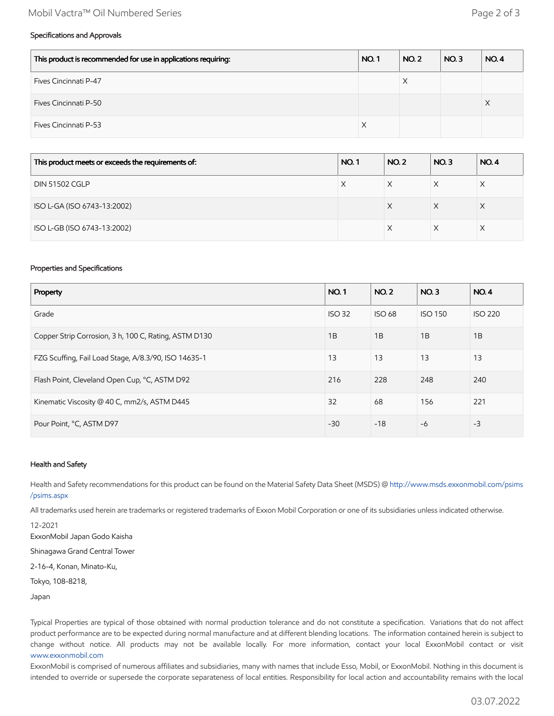## Mobil Vactra™ Oil Numbered Series Page 2 of 3

#### Specifications and Approvals

| This product is recommended for use in applications requiring: | <b>NO.1</b> | <b>NO. 2</b> | NO.3 | <b>NO.4</b> |
|----------------------------------------------------------------|-------------|--------------|------|-------------|
| Fives Cincinnati P-47                                          |             |              |      |             |
| Fives Cincinnati P-50                                          |             |              |      | ∧           |
| Fives Cincinnati P-53                                          | X           |              |      |             |

| This product meets or exceeds the requirements of: | <b>NO.1</b> | <b>NO.2</b> | NO.3 | <b>NO.4</b> |
|----------------------------------------------------|-------------|-------------|------|-------------|
| <b>DIN 51502 CGLP</b>                              | X           |             |      |             |
| ISO L-GA (ISO 6743-13:2002)                        |             | X           | X    | X           |
| ISO L-GB (ISO 6743-13:2002)                        |             |             |      |             |

#### Properties and Specifications

| Property                                              | <b>NO.1</b>   | <b>NO.2</b>   | NO.3           | <b>NO.4</b>    |
|-------------------------------------------------------|---------------|---------------|----------------|----------------|
| Grade                                                 | <b>ISO 32</b> | <b>ISO 68</b> | <b>ISO 150</b> | <b>ISO 220</b> |
| Copper Strip Corrosion, 3 h, 100 C, Rating, ASTM D130 | 1B            | 1B            | 1B             | 1B             |
| FZG Scuffing, Fail Load Stage, A/8.3/90, ISO 14635-1  | 13            | 13            | 13             | 13             |
| Flash Point, Cleveland Open Cup, °C, ASTM D92         | 216           | 228           | 248            | 240            |
| Kinematic Viscosity @ 40 C, mm2/s, ASTM D445          | 32            | 68            | 156            | 221            |
| Pour Point, °C, ASTM D97                              | $-30$         | $-18$         | $-6$           | $-3$           |

#### Health and Safety

Health and Safety recommendations for this product can be found on the Material Safety Data Sheet (MSDS) @ [http://www.msds.exxonmobil.com/psims](http://www.msds.exxonmobil.com/psims/psims.aspx) /psims.aspx

All trademarks used herein are trademarks or registered trademarks of Exxon Mobil Corporation or one of its subsidiaries unless indicated otherwise.

12-2021 ExxonMobil Japan Godo Kaisha

Shinagawa Grand Central Tower

2-16-4, Konan, Minato-Ku,

Tokyo, 108-8218,

Japan

Typical Properties are typical of those obtained with normal production tolerance and do not constitute a specification. Variations that do not affect product performance are to be expected during normal manufacture and at different blending locations. The information contained herein is subject to change without notice. All products may not be available locally. For more information, contact your local ExxonMobil contact or visit [www.exxonmobil.com](http://www.exxonmobil.com/)

ExxonMobil is comprised of numerous affiliates and subsidiaries, many with names that include Esso, Mobil, or ExxonMobil. Nothing in this document is intended to override or supersede the corporate separateness of local entities. Responsibility for local action and accountability remains with the local